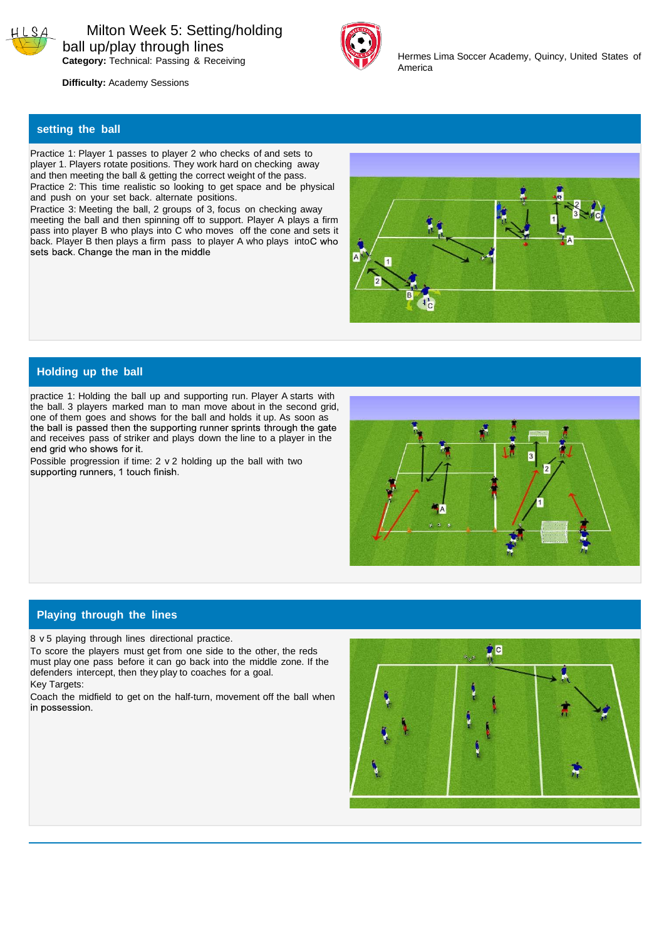



Hermes Lima Soccer Academy, Quincy, United States of America

 **Difficulty:** Academy Sessions

## **setting the ball**

Practice 1: Player 1 passes to player 2 who checks of and sets to player 1. Players rotate positions. They work hard on checking away and then meeting the ball & getting the correct weight of the pass. Practice 2: This time realistic so looking to get space and be physical and push on your set back. alternate positions.

Practice 3: Meeting the ball, 2 groups of 3, focus on checking away meeting the ball and then spinning off to support. Player A plays a firm pass into player B who plays into C who moves off the cone and sets it back. Player B then plays a firm pass to player A who plays into C who sets back. Change the man in the middle



### **Holding up the ball**

practice 1: Holding the ball up and supporting run. Player A starts with the ball. 3 players marked man to man move about in the second grid, one of them goes and shows for the ball and holds it up. As soon as the ball is passed then the supporting runner sprints through the gate and receives pass of striker and plays down the line to a player in the

Possible progression if time: 2 v 2 holding up the ball with two supporting runners, 1 touch finish.



#### **Playing through the lines**

8 v 5 playing through lines directional practice.

To score the players must get from one side to the other, the reds must play one pass before it can go back into the middle zone. If the defenders intercept, then they play to coaches for a goal. Key Targets:

Coach the midfield to get on the half-turn, movement off the ball when in possession.